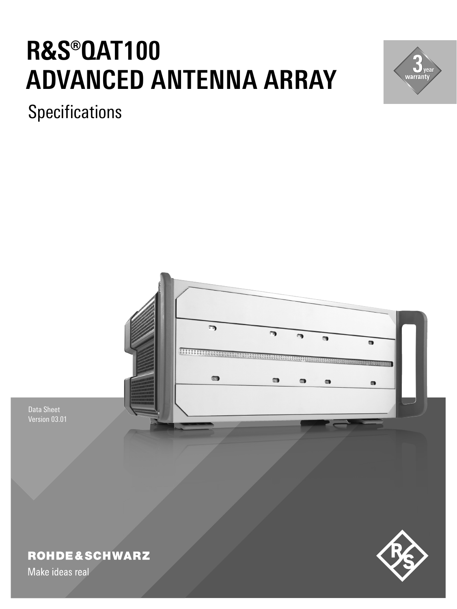# **R&S®OAT100 ADVANCED ANTENNA ARRAY**



**Specifications** 



# **ROHDE&SCHWARZ**

Make ideas real

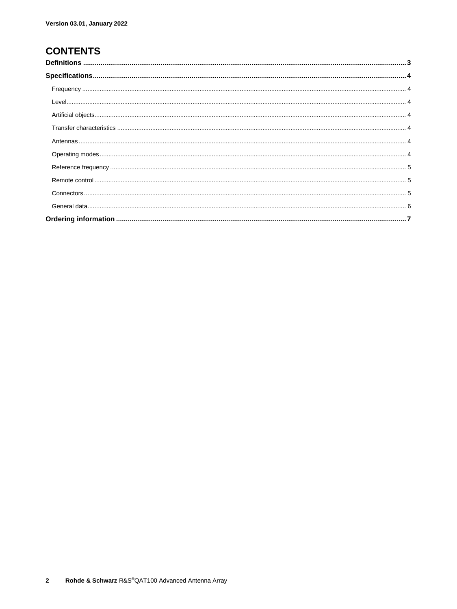### **CONTENTS**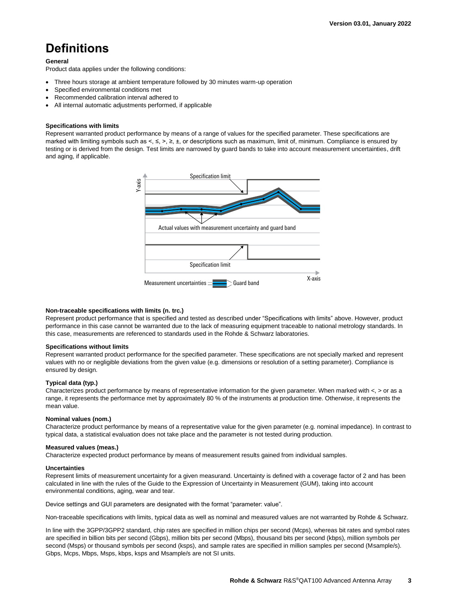## <span id="page-2-0"></span>**Definitions**

#### **General**

Product data applies under the following conditions:

- Three hours storage at ambient temperature followed by 30 minutes warm-up operation
- Specified environmental conditions met
- Recommended calibration interval adhered to
- All internal automatic adjustments performed, if applicable

#### **Specifications with limits**

Represent warranted product performance by means of a range of values for the specified parameter. These specifications are marked with limiting symbols such as <, ≤, >, ≥, ±, or descriptions such as maximum, limit of, minimum. Compliance is ensured by testing or is derived from the design. Test limits are narrowed by guard bands to take into account measurement uncertainties, drift and aging, if applicable.



#### **Non-traceable specifications with limits (n. trc.)**

Represent product performance that is specified and tested as described under "Specifications with limits" above. However, product performance in this case cannot be warranted due to the lack of measuring equipment traceable to national metrology standards. In this case, measurements are referenced to standards used in the Rohde & Schwarz laboratories.

#### **Specifications without limits**

Represent warranted product performance for the specified parameter. These specifications are not specially marked and represent values with no or negligible deviations from the given value (e.g. dimensions or resolution of a setting parameter). Compliance is ensured by design.

#### **Typical data (typ.)**

Characterizes product performance by means of representative information for the given parameter. When marked with  $\lt$ ,  $>$  or as a range, it represents the performance met by approximately 80 % of the instruments at production time. Otherwise, it represents the mean value.

#### **Nominal values (nom.)**

Characterize product performance by means of a representative value for the given parameter (e.g. nominal impedance). In contrast to typical data, a statistical evaluation does not take place and the parameter is not tested during production.

#### **Measured values (meas.)**

Characterize expected product performance by means of measurement results gained from individual samples.

#### **Uncertainties**

Represent limits of measurement uncertainty for a given measurand. Uncertainty is defined with a coverage factor of 2 and has been calculated in line with the rules of the Guide to the Expression of Uncertainty in Measurement (GUM), taking into account environmental conditions, aging, wear and tear.

Device settings and GUI parameters are designated with the format "parameter: value".

Non-traceable specifications with limits, typical data as well as nominal and measured values are not warranted by Rohde & Schwarz.

In line with the 3GPP/3GPP2 standard, chip rates are specified in million chips per second (Mcps), whereas bit rates and symbol rates are specified in billion bits per second (Gbps), million bits per second (Mbps), thousand bits per second (kbps), million symbols per second (Msps) or thousand symbols per second (ksps), and sample rates are specified in million samples per second (Msample/s). Gbps, Mcps, Mbps, Msps, kbps, ksps and Msample/s are not SI units.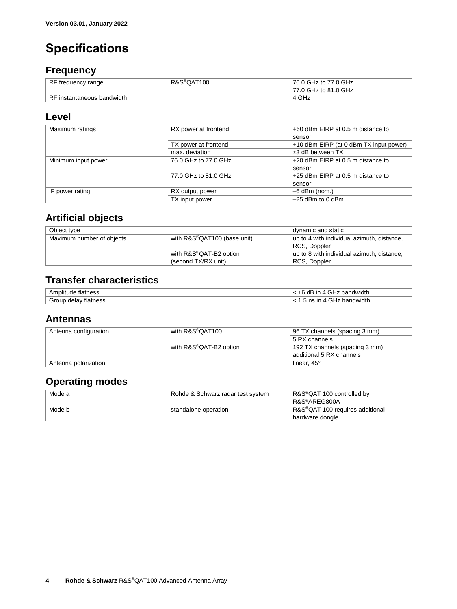# <span id="page-3-0"></span>**Specifications**

### <span id="page-3-1"></span>**Frequency**

| RF frequency range         | R&S <sup>®</sup> QAT100 | 76.0 GHz to 77.0 GHz |
|----------------------------|-------------------------|----------------------|
|                            |                         | 77.0 GHz to 81.0 GHz |
| RF instantaneous bandwidth |                         | 4 GHz                |

### <span id="page-3-2"></span>**Level**

| Maximum ratings     | RX power at frontend | +60 dBm EIRP at 0.5 m distance to      |
|---------------------|----------------------|----------------------------------------|
|                     |                      |                                        |
|                     |                      | sensor                                 |
|                     | TX power at frontend | +10 dBm EIRP (at 0 dBm TX input power) |
|                     | max. deviation       | $±3$ dB between TX                     |
| Minimum input power | 76.0 GHz to 77.0 GHz | +20 dBm EIRP at 0.5 m distance to      |
|                     |                      | sensor                                 |
|                     | 77.0 GHz to 81.0 GHz | $+25$ dBm EIRP at 0.5 m distance to    |
|                     |                      | sensor                                 |
| IF power rating     | RX output power      | $-6$ dBm (nom.)                        |
|                     | TX input power       | $-25$ dBm to 0 dBm                     |

### <span id="page-3-3"></span>**Artificial objects**

| Object type               |                             | dynamic and static                         |
|---------------------------|-----------------------------|--------------------------------------------|
| Maximum number of objects | with R&S®QAT100 (base unit) | up to 4 with individual azimuth, distance, |
|                           |                             | RCS, Doppler                               |
|                           | with R&S®QAT-B2 option      | up to 8 with individual azimuth, distance, |
|                           | (second TX/RX unit)         | RCS, Doppler                               |

### <span id="page-3-4"></span>**Transfer characteristics**

| ,,,,<br>גסטו                               | width       |
|--------------------------------------------|-------------|
| $\cdot$<br>าess<br>. .<br>пa<br>Jeio<br>__ | .<br>dwidth |

### <span id="page-3-5"></span>**Antennas**

| Antenna configuration | with R&S®QAT100        | 96 TX channels (spacing 3 mm)  |
|-----------------------|------------------------|--------------------------------|
|                       |                        | 5 RX channels                  |
|                       | with R&S®QAT-B2 option | 192 TX channels (spacing 3 mm) |
|                       |                        | additional 5 RX channels       |
| Antenna polarization  |                        | linear, $45^\circ$             |

### <span id="page-3-6"></span>**Operating modes**

| Mode a | Rohde & Schwarz radar test system | R&S <sup>®</sup> QAT 100 controlled by       |
|--------|-----------------------------------|----------------------------------------------|
|        |                                   | R&S®AREG800A                                 |
| Mode b | standalone operation              | R&S <sup>®</sup> QAT 100 requires additional |
|        |                                   | hardware dongle                              |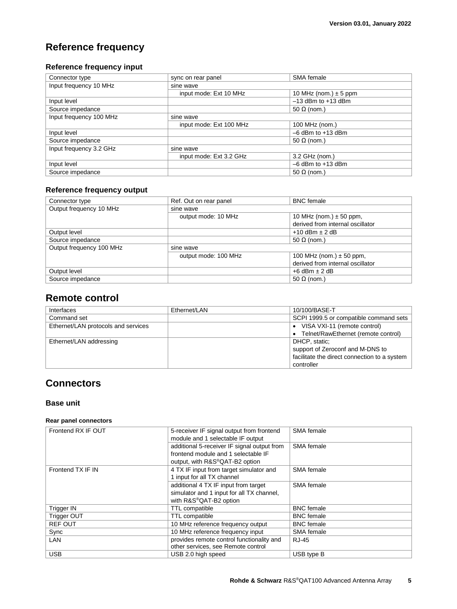### <span id="page-4-0"></span>**Reference frequency**

### **Reference frequency input**

| Connector type          | sync on rear panel      | SMA female                |  |
|-------------------------|-------------------------|---------------------------|--|
| Input frequency 10 MHz  | sine wave               |                           |  |
|                         | input mode: Ext 10 MHz  | 10 MHz (nom.) $\pm$ 5 ppm |  |
| Input level             |                         | $-13$ dBm to $+13$ dBm    |  |
| Source impedance        |                         | 50 $\Omega$ (nom.)        |  |
| Input frequency 100 MHz | sine wave               |                           |  |
|                         | input mode: Ext 100 MHz | 100 MHz (nom.)            |  |
| Input level             |                         | $-6$ dBm to $+13$ dBm     |  |
| Source impedance        |                         | 50 $\Omega$ (nom.)        |  |
| Input frequency 3.2 GHz | sine wave               |                           |  |
|                         | input mode: Ext 3.2 GHz | 3.2 GHz (nom.)            |  |
| Input level             |                         | $-6$ dBm to $+13$ dBm     |  |
| Source impedance        |                         | 50 $\Omega$ (nom.)        |  |

### **Reference frequency output**

| Connector type           | Ref. Out on rear panel | <b>BNC</b> female                |
|--------------------------|------------------------|----------------------------------|
| Output frequency 10 MHz  | sine wave              |                                  |
|                          | output mode: 10 MHz    | 10 MHz (nom.) $\pm$ 50 ppm,      |
|                          |                        | derived from internal oscillator |
| Output level             |                        | $+10$ dBm $\pm$ 2 dB             |
| Source impedance         |                        | 50 $\Omega$ (nom.)               |
| Output frequency 100 MHz | sine wave              |                                  |
|                          | output mode: 100 MHz   | 100 MHz (nom.) $\pm$ 50 ppm,     |
|                          |                        | derived from internal oscillator |
| Output level             |                        | $+6$ dBm $\pm$ 2 dB              |
| Source impedance         |                        | 50 $\Omega$ (nom.)               |

### <span id="page-4-1"></span>**Remote control**

| Interfaces                          | Ethernet/LAN | 10/100/BASE-T                                |
|-------------------------------------|--------------|----------------------------------------------|
| Command set                         |              | SCPI 1999.5 or compatible command sets       |
| Ethernet/LAN protocols and services |              | • VISA VXI-11 (remote control)               |
|                                     |              | • Telnet/RawEthernet (remote control)        |
| Ethernet/LAN addressing             |              | DHCP. static:                                |
|                                     |              | support of Zeroconf and M-DNS to             |
|                                     |              | facilitate the direct connection to a system |
|                                     |              | controller                                   |

### <span id="page-4-2"></span>**Connectors**

### **Base unit**

### **Rear panel connectors**

| Frontend RX IF OUT | 5-receiver IF signal output from frontend   | SMA female        |
|--------------------|---------------------------------------------|-------------------|
|                    | module and 1 selectable IF output           |                   |
|                    | additional 5-receiver IF signal output from | SMA female        |
|                    | frontend module and 1 selectable IF         |                   |
|                    | output, with R&S®QAT-B2 option              |                   |
| Frontend TX IF IN  | 4 TX IF input from target simulator and     | SMA female        |
|                    | 1 input for all TX channel                  |                   |
|                    | additional 4 TX IF input from target        | SMA female        |
|                    | simulator and 1 input for all TX channel,   |                   |
|                    | with R&S®QAT-B2 option                      |                   |
| <b>Trigger IN</b>  | TTL compatible                              | <b>BNC</b> female |
| <b>Trigger OUT</b> | TTL compatible                              | <b>BNC</b> female |
| <b>REF OUT</b>     | 10 MHz reference frequency output           | <b>BNC</b> female |
| Sync               | 10 MHz reference frequency input            | SMA female        |
| <b>LAN</b>         | provides remote control functionality and   | RJ-45             |
|                    | other services, see Remote control          |                   |
| <b>USB</b>         | USB 2.0 high speed                          | USB type B        |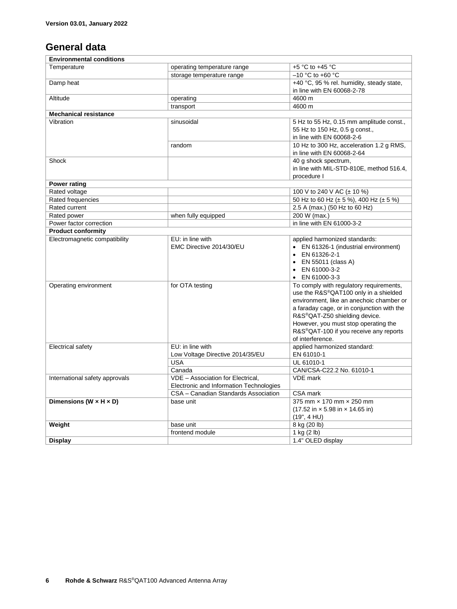### <span id="page-5-0"></span>**General data**

| <b>Environmental conditions</b>      |                                                                              |                                                                                                                                                                                                                                                                                                                                |  |
|--------------------------------------|------------------------------------------------------------------------------|--------------------------------------------------------------------------------------------------------------------------------------------------------------------------------------------------------------------------------------------------------------------------------------------------------------------------------|--|
| Temperature                          | operating temperature range                                                  | +5 $\degree$ C to +45 $\degree$ C                                                                                                                                                                                                                                                                                              |  |
|                                      | storage temperature range                                                    | $-10$ °C to +60 °C                                                                                                                                                                                                                                                                                                             |  |
| Damp heat                            |                                                                              | +40 °C, 95 % rel. humidity, steady state,                                                                                                                                                                                                                                                                                      |  |
|                                      |                                                                              | in line with EN 60068-2-78                                                                                                                                                                                                                                                                                                     |  |
| Altitude                             | operating                                                                    | 4600 m                                                                                                                                                                                                                                                                                                                         |  |
|                                      | transport                                                                    | 4600 m                                                                                                                                                                                                                                                                                                                         |  |
| <b>Mechanical resistance</b>         |                                                                              |                                                                                                                                                                                                                                                                                                                                |  |
| Vibration                            | sinusoidal                                                                   | 5 Hz to 55 Hz, 0.15 mm amplitude const.,<br>55 Hz to 150 Hz, 0.5 g const.,<br>in line with EN 60068-2-6                                                                                                                                                                                                                        |  |
|                                      | random                                                                       | 10 Hz to 300 Hz, acceleration 1.2 g RMS,<br>in line with EN 60068-2-64                                                                                                                                                                                                                                                         |  |
| Shock                                |                                                                              | 40 g shock spectrum,<br>in line with MIL-STD-810E, method 516.4,<br>procedure I                                                                                                                                                                                                                                                |  |
| Power rating                         |                                                                              |                                                                                                                                                                                                                                                                                                                                |  |
| Rated voltage                        |                                                                              | 100 V to 240 V AC (± 10 %)                                                                                                                                                                                                                                                                                                     |  |
| Rated frequencies                    |                                                                              | 50 Hz to 60 Hz (± 5 %), 400 Hz (± 5 %)                                                                                                                                                                                                                                                                                         |  |
| Rated current                        |                                                                              | 2.5 A (max.) (50 Hz to 60 Hz)                                                                                                                                                                                                                                                                                                  |  |
| Rated power                          | when fully equipped                                                          | 200 W (max.)                                                                                                                                                                                                                                                                                                                   |  |
| Power factor correction              |                                                                              | in line with EN 61000-3-2                                                                                                                                                                                                                                                                                                      |  |
| <b>Product conformity</b>            |                                                                              |                                                                                                                                                                                                                                                                                                                                |  |
| Electromagnetic compatibility        | EU: in line with<br>EMC Directive 2014/30/EU                                 | applied harmonized standards:<br>• EN 61326-1 (industrial environment)<br>EN 61326-2-1<br>EN 55011 (class A)<br>EN 61000-3-2<br>$\bullet$ EN 61000-3-3                                                                                                                                                                         |  |
| Operating environment                | for OTA testing                                                              | To comply with regulatory requirements,<br>use the R&S®QAT100 only in a shielded<br>environment, like an anechoic chamber or<br>a faraday cage, or in conjunction with the<br>R&S <sup>®</sup> QAT-Z50 shielding device.<br>However, you must stop operating the<br>R&S®QAT-100 if you receive any reports<br>of interference. |  |
| Electrical safety                    | EU: in line with<br>Low Voltage Directive 2014/35/EU                         | applied harmonized standard:<br>EN 61010-1                                                                                                                                                                                                                                                                                     |  |
|                                      | <b>USA</b>                                                                   | UL 61010-1                                                                                                                                                                                                                                                                                                                     |  |
|                                      | Canada                                                                       | CAN/CSA-C22.2 No. 61010-1                                                                                                                                                                                                                                                                                                      |  |
| International safety approvals       | VDE - Association for Electrical,<br>Electronic and Information Technologies | <b>VDE</b> mark                                                                                                                                                                                                                                                                                                                |  |
|                                      | CSA - Canadian Standards Association                                         | CSA mark                                                                                                                                                                                                                                                                                                                       |  |
| Dimensions ( $W \times H \times D$ ) | base unit                                                                    | 375 mm x 170 mm x 250 mm<br>$(17.52 \text{ in} \times 5.98 \text{ in} \times 14.65 \text{ in})$<br>(19", 4 HU)                                                                                                                                                                                                                 |  |
| Weight                               | base unit                                                                    | 8 kg (20 lb)                                                                                                                                                                                                                                                                                                                   |  |
|                                      | frontend module                                                              | 1 kg $(2 \text{ lb})$                                                                                                                                                                                                                                                                                                          |  |
| <b>Display</b>                       |                                                                              | 1.4" OLED display                                                                                                                                                                                                                                                                                                              |  |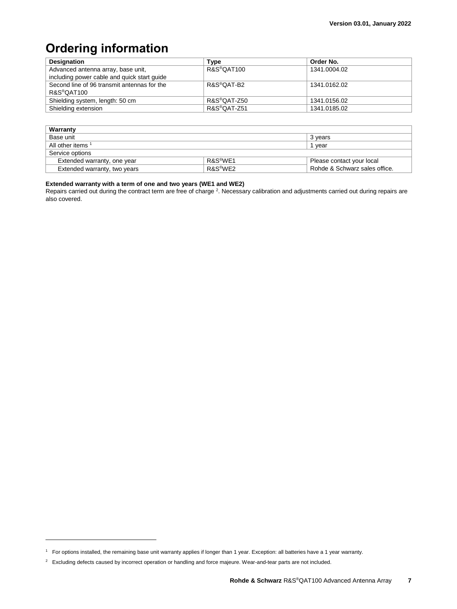# <span id="page-6-0"></span>**Ordering information**

| <b>Designation</b>                          | Type        | Order No.    |
|---------------------------------------------|-------------|--------------|
| Advanced antenna array, base unit,          | R&S®QAT100  | 1341.0004.02 |
| including power cable and quick start quide |             |              |
| Second line of 96 transmit antennas for the | R&S®QAT-B2  | 1341.0162.02 |
| R&S <sup>®</sup> OAT100                     |             |              |
| Shielding system, length: 50 cm             | R&S®OAT-Z50 | 1341.0156.02 |
| Shielding extension                         | R&S®QAT-Z51 | 1341.0185.02 |

| Warranty                     |         |                               |
|------------------------------|---------|-------------------------------|
| Base unit                    |         | 3 vears                       |
| All other items 1            |         | 1 vear                        |
| Service options              |         |                               |
| Extended warranty, one year  | R&S®WF1 | Please contact your local     |
| Extended warranty, two years | R&S®WF2 | Rohde & Schwarz sales office. |

#### **Extended warranty with a term of one and two years (WE1 and WE2)**

Repairs carried out during the contract term are free of charge <sup>2</sup>. Necessary calibration and adjustments carried out during repairs are also covered.

l

<sup>1</sup> For options installed, the remaining base unit warranty applies if longer than 1 year. Exception: all batteries have a 1 year warranty.

<sup>&</sup>lt;sup>2</sup> Excluding defects caused by incorrect operation or handling and force majeure. Wear-and-tear parts are not included.